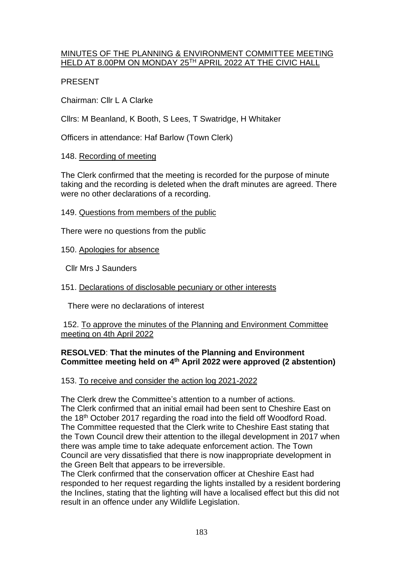### MINUTES OF THE PLANNING & ENVIRONMENT COMMITTEE MEETING HELD AT 8.00PM ON MONDAY 25TH APRIL 2022 AT THE CIVIC HALL

## PRESENT

Chairman: Cllr L A Clarke

Cllrs: M Beanland, K Booth, S Lees, T Swatridge, H Whitaker

Officers in attendance: Haf Barlow (Town Clerk)

# 148. Recording of meeting

The Clerk confirmed that the meeting is recorded for the purpose of minute taking and the recording is deleted when the draft minutes are agreed. There were no other declarations of a recording.

## 149. Questions from members of the public

There were no questions from the public

150. Apologies for absence

Cllr Mrs J Saunders

# 151. Declarations of disclosable pecuniary or other interests

There were no declarations of interest

### 152. To approve the minutes of the Planning and Environment Committee meeting on 4th April 2022

# **RESOLVED**: **That the minutes of the Planning and Environment Committee meeting held on 4 th April 2022 were approved (2 abstention)**

# 153. To receive and consider the action log 2021-2022

The Clerk drew the Committee's attention to a number of actions. The Clerk confirmed that an initial email had been sent to Cheshire East on the 18th October 2017 regarding the road into the field off Woodford Road. The Committee requested that the Clerk write to Cheshire East stating that the Town Council drew their attention to the illegal development in 2017 when there was ample time to take adequate enforcement action. The Town Council are very dissatisfied that there is now inappropriate development in the Green Belt that appears to be irreversible.

The Clerk confirmed that the conservation officer at Cheshire East had responded to her request regarding the lights installed by a resident bordering the Inclines, stating that the lighting will have a localised effect but this did not result in an offence under any Wildlife Legislation.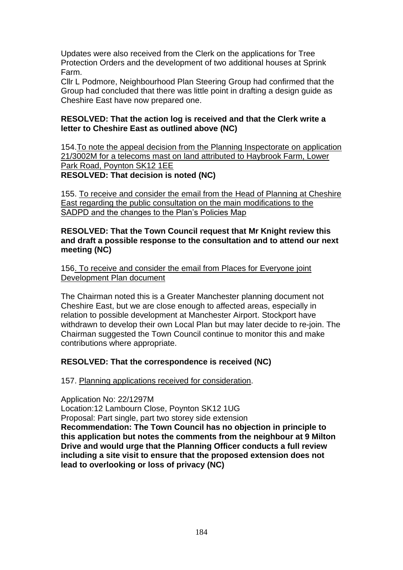Updates were also received from the Clerk on the applications for Tree Protection Orders and the development of two additional houses at Sprink Farm.

Cllr L Podmore, Neighbourhood Plan Steering Group had confirmed that the Group had concluded that there was little point in drafting a design guide as Cheshire East have now prepared one.

### **RESOLVED: That the action log is received and that the Clerk write a letter to Cheshire East as outlined above (NC)**

154.To note the appeal decision from the Planning Inspectorate on application 21/3002M for a telecoms mast on land attributed to Haybrook Farm, Lower Park Road, Poynton SK12 1EE **RESOLVED: That decision is noted (NC)**

155. To receive and consider the email from the Head of Planning at Cheshire East regarding the public consultation on the main modifications to the SADPD and the changes to the Plan's Policies Map

#### **RESOLVED: That the Town Council request that Mr Knight review this and draft a possible response to the consultation and to attend our next meeting (NC)**

156. To receive and consider the email from Places for Everyone joint Development Plan document

The Chairman noted this is a Greater Manchester planning document not Cheshire East, but we are close enough to affected areas, especially in relation to possible development at Manchester Airport. Stockport have withdrawn to develop their own Local Plan but may later decide to re-join. The Chairman suggested the Town Council continue to monitor this and make contributions where appropriate.

## **RESOLVED: That the correspondence is received (NC)**

157. Planning applications received for consideration.

#### Application No: 22/1297M

Location:12 Lambourn Close, Poynton SK12 1UG

Proposal: Part single, part two storey side extension

**Recommendation: The Town Council has no objection in principle to this application but notes the comments from the neighbour at 9 Milton Drive and would urge that the Planning Officer conducts a full review including a site visit to ensure that the proposed extension does not lead to overlooking or loss of privacy (NC)**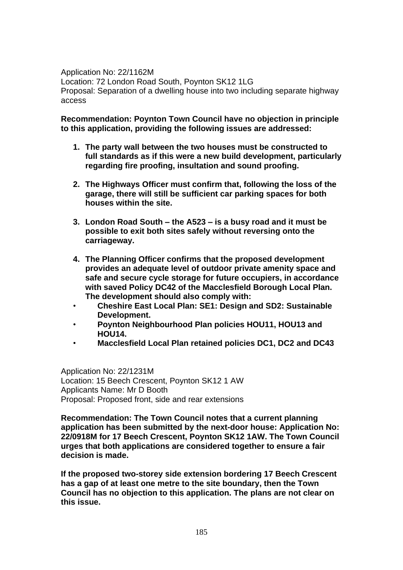Application No: 22/1162M Location: 72 London Road South, Poynton SK12 1LG Proposal: Separation of a dwelling house into two including separate highway access

**Recommendation: Poynton Town Council have no objection in principle to this application, providing the following issues are addressed:**

- **1. The party wall between the two houses must be constructed to full standards as if this were a new build development, particularly regarding fire proofing, insultation and sound proofing.**
- **2. The Highways Officer must confirm that, following the loss of the garage, there will still be sufficient car parking spaces for both houses within the site.**
- **3. London Road South – the A523 – is a busy road and it must be possible to exit both sites safely without reversing onto the carriageway.**
- **4. The Planning Officer confirms that the proposed development provides an adequate level of outdoor private amenity space and safe and secure cycle storage for future occupiers, in accordance with saved Policy DC42 of the Macclesfield Borough Local Plan. The development should also comply with:**
- **Cheshire East Local Plan: SE1: Design and SD2: Sustainable Development.**
- **Poynton Neighbourhood Plan policies HOU11, HOU13 and HOU14.**
- **Macclesfield Local Plan retained policies DC1, DC2 and DC43**

Application No: 22/1231M Location: 15 Beech Crescent, Poynton SK12 1 AW Applicants Name: Mr D Booth Proposal: Proposed front, side and rear extensions

**Recommendation: The Town Council notes that a current planning application has been submitted by the next-door house: Application No: 22/0918M for 17 Beech Crescent, Poynton SK12 1AW. The Town Council urges that both applications are considered together to ensure a fair decision is made.**

**If the proposed two-storey side extension bordering 17 Beech Crescent has a gap of at least one metre to the site boundary, then the Town Council has no objection to this application. The plans are not clear on this issue.**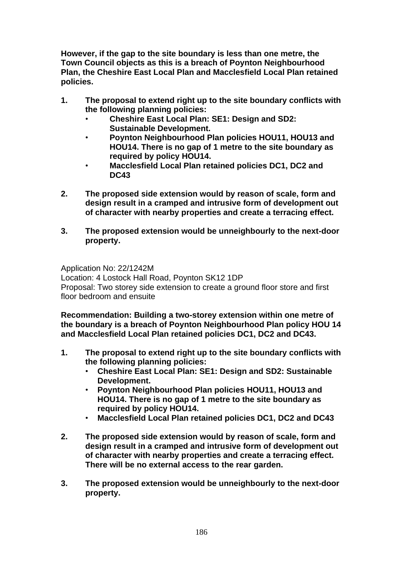**However, if the gap to the site boundary is less than one metre, the Town Council objects as this is a breach of Poynton Neighbourhood Plan, the Cheshire East Local Plan and Macclesfield Local Plan retained policies.** 

- **1. The proposal to extend right up to the site boundary conflicts with the following planning policies:**
	- **Cheshire East Local Plan: SE1: Design and SD2: Sustainable Development.**
	- **Poynton Neighbourhood Plan policies HOU11, HOU13 and HOU14. There is no gap of 1 metre to the site boundary as required by policy HOU14.**
	- **Macclesfield Local Plan retained policies DC1, DC2 and DC43**
- **2. The proposed side extension would by reason of scale, form and design result in a cramped and intrusive form of development out of character with nearby properties and create a terracing effect.**
- **3. The proposed extension would be unneighbourly to the next-door property.**

Application No: 22/1242M Location: 4 Lostock Hall Road, Poynton SK12 1DP Proposal: Two storey side extension to create a ground floor store and first floor bedroom and ensuite

**Recommendation: Building a two-storey extension within one metre of the boundary is a breach of Poynton Neighbourhood Plan policy HOU 14 and Macclesfield Local Plan retained policies DC1, DC2 and DC43.** 

- **1. The proposal to extend right up to the site boundary conflicts with the following planning policies:**
	- **Cheshire East Local Plan: SE1: Design and SD2: Sustainable Development.**
	- **Poynton Neighbourhood Plan policies HOU11, HOU13 and HOU14. There is no gap of 1 metre to the site boundary as required by policy HOU14.**
	- **Macclesfield Local Plan retained policies DC1, DC2 and DC43**
- **2. The proposed side extension would by reason of scale, form and design result in a cramped and intrusive form of development out of character with nearby properties and create a terracing effect. There will be no external access to the rear garden.**
- **3. The proposed extension would be unneighbourly to the next-door property.**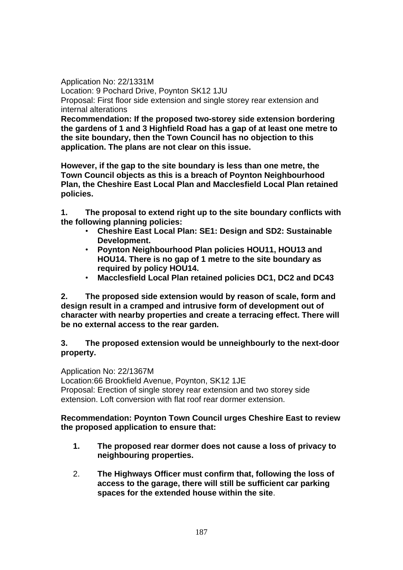Application No: 22/1331M Location: 9 Pochard Drive, Poynton SK12 1JU Proposal: First floor side extension and single storey rear extension and internal alterations

**Recommendation: If the proposed two-storey side extension bordering the gardens of 1 and 3 Highfield Road has a gap of at least one metre to the site boundary, then the Town Council has no objection to this application. The plans are not clear on this issue.**

**However, if the gap to the site boundary is less than one metre, the Town Council objects as this is a breach of Poynton Neighbourhood Plan, the Cheshire East Local Plan and Macclesfield Local Plan retained policies.** 

**1. The proposal to extend right up to the site boundary conflicts with the following planning policies:**

- **Cheshire East Local Plan: SE1: Design and SD2: Sustainable Development.**
- **Poynton Neighbourhood Plan policies HOU11, HOU13 and HOU14. There is no gap of 1 metre to the site boundary as required by policy HOU14.**
- **Macclesfield Local Plan retained policies DC1, DC2 and DC43**

**2. The proposed side extension would by reason of scale, form and design result in a cramped and intrusive form of development out of character with nearby properties and create a terracing effect. There will be no external access to the rear garden.**

**3. The proposed extension would be unneighbourly to the next-door property.**

Application No: 22/1367M

Location:66 Brookfield Avenue, Poynton, SK12 1JE Proposal: Erection of single storey rear extension and two storey side extension. Loft conversion with flat roof rear dormer extension.

#### **Recommendation: Poynton Town Council urges Cheshire East to review the proposed application to ensure that:**

- **1. The proposed rear dormer does not cause a loss of privacy to neighbouring properties.**
- 2. **The Highways Officer must confirm that, following the loss of access to the garage, there will still be sufficient car parking spaces for the extended house within the site**.